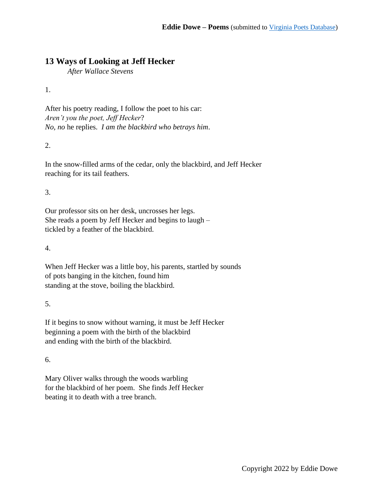## **13 Ways of Looking at Jeff Hecker**

*After Wallace Stevens*

1.

After his poetry reading, I follow the poet to his car: *Aren't you the poet, Jeff Hecker*? *No, no* he replies. *I am the blackbird who betrays him*.

2.

In the snow-filled arms of the cedar, only the blackbird, and Jeff Hecker reaching for its tail feathers.

3.

Our professor sits on her desk, uncrosses her legs. She reads a poem by Jeff Hecker and begins to laugh – tickled by a feather of the blackbird.

4.

When Jeff Hecker was a little boy, his parents, startled by sounds of pots banging in the kitchen, found him standing at the stove, boiling the blackbird.

5.

If it begins to snow without warning, it must be Jeff Hecker beginning a poem with the birth of the blackbird and ending with the birth of the blackbird.

6.

Mary Oliver walks through the woods warbling for the blackbird of her poem. She finds Jeff Hecker beating it to death with a tree branch.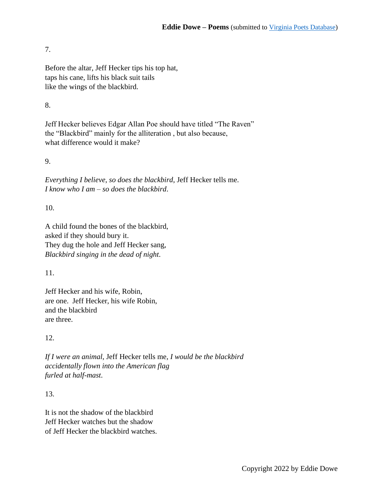#### 7.

Before the altar, Jeff Hecker tips his top hat, taps his cane, lifts his black suit tails like the wings of the blackbird.

### 8.

Jeff Hecker believes Edgar Allan Poe should have titled "The Raven" the "Blackbird" mainly for the alliteration , but also because, what difference would it make?

#### 9.

*Everything I believe*, *so does the blackbird*, Jeff Hecker tells me. *I know who I am* – *so does the blackbird*.

#### 10.

A child found the bones of the blackbird, asked if they should bury it. They dug the hole and Jeff Hecker sang, *Blackbird singing in the dead of night*.

#### 11.

Jeff Hecker and his wife, Robin, are one. Jeff Hecker, his wife Robin, and the blackbird are three.

#### 12.

*If I were an animal*, Jeff Hecker tells me, *I would be the blackbird accidentally flown into the American flag furled at half-mast*.

#### 13.

It is not the shadow of the blackbird Jeff Hecker watches but the shadow of Jeff Hecker the blackbird watches.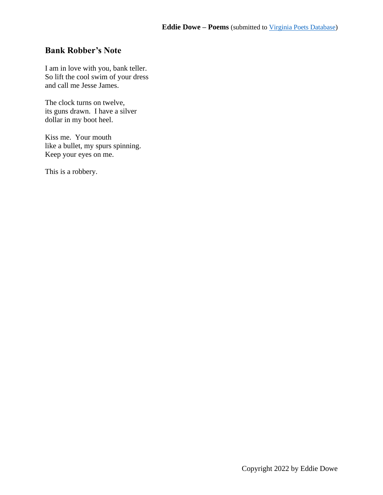# **Bank Robber's Note**

I am in love with you, bank teller. So lift the cool swim of your dress and call me Jesse James.

The clock turns on twelve, its guns drawn. I have a silver dollar in my boot heel.

Kiss me. Your mouth like a bullet, my spurs spinning. Keep your eyes on me.

This is a robbery.